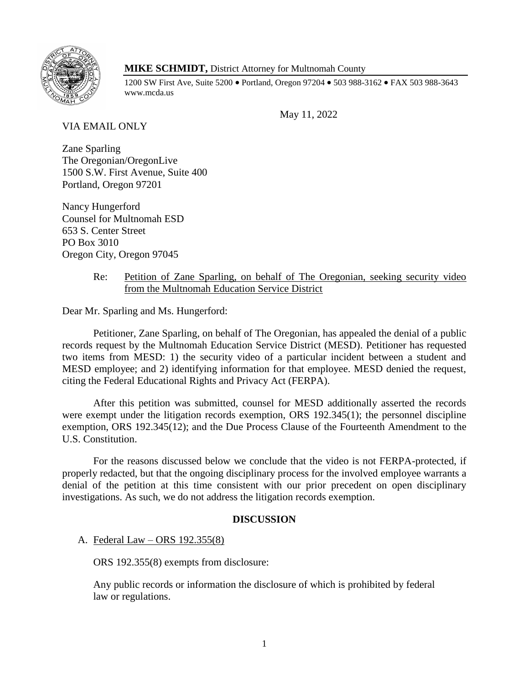

# **MIKE SCHMIDT,** District Attorney for Multnomah County

1200 SW First Ave, Suite 5200 • Portland, Oregon 97204 • 503 988-3162 • FAX 503 988-3643 www.mcda.us

May 11, 2022

VIA EMAIL ONLY

Zane Sparling The Oregonian/OregonLive 1500 S.W. First Avenue, Suite 400 Portland, Oregon 97201

Nancy Hungerford Counsel for Multnomah ESD 653 S. Center Street PO Box 3010 Oregon City, Oregon 97045

## Re: Petition of Zane Sparling, on behalf of The Oregonian, seeking security video from the Multnomah Education Service District

Dear Mr. Sparling and Ms. Hungerford:

Petitioner, Zane Sparling, on behalf of The Oregonian, has appealed the denial of a public records request by the Multnomah Education Service District (MESD). Petitioner has requested two items from MESD: 1) the security video of a particular incident between a student and MESD employee; and 2) identifying information for that employee. MESD denied the request, citing the Federal Educational Rights and Privacy Act (FERPA).

After this petition was submitted, counsel for MESD additionally asserted the records were exempt under the litigation records exemption, ORS 192.345(1); the personnel discipline exemption, ORS 192.345(12); and the Due Process Clause of the Fourteenth Amendment to the U.S. Constitution.

For the reasons discussed below we conclude that the video is not FERPA-protected, if properly redacted, but that the ongoing disciplinary process for the involved employee warrants a denial of the petition at this time consistent with our prior precedent on open disciplinary investigations. As such, we do not address the litigation records exemption.

## **DISCUSSION**

A. Federal Law – ORS 192.355(8)

ORS 192.355(8) exempts from disclosure:

Any public records or information the disclosure of which is prohibited by federal law or regulations.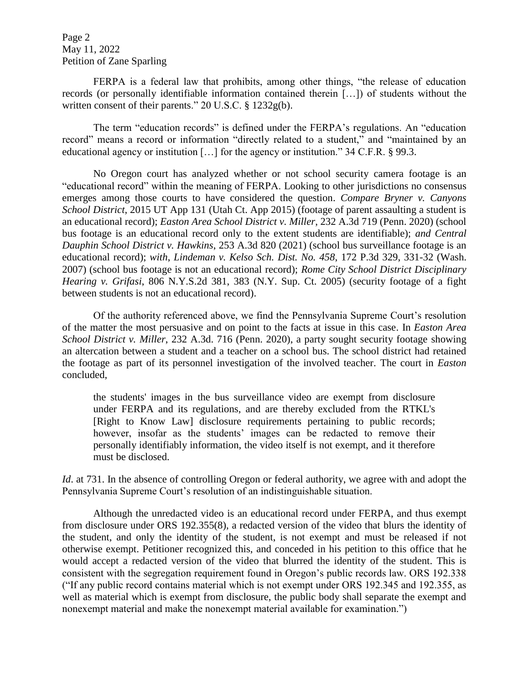Page 2 May 11, 2022 Petition of Zane Sparling

FERPA is a federal law that prohibits, among other things, "the release of education records (or personally identifiable information contained therein […]) of students without the written consent of their parents." 20 U.S.C. § 1232g(b).

The term "education records" is defined under the FERPA's regulations. An "education record" means a record or information "directly related to a student," and "maintained by an educational agency or institution […] for the agency or institution." 34 C.F.R. § 99.3.

No Oregon court has analyzed whether or not school security camera footage is an "educational record" within the meaning of FERPA. Looking to other jurisdictions no consensus emerges among those courts to have considered the question. *Compare Bryner v. Canyons School District*, 2015 UT App 131 (Utah Ct. App 2015) (footage of parent assaulting a student is an educational record); *Easton Area School District v. Miller*, 232 A.3d 719 (Penn. 2020) (school bus footage is an educational record only to the extent students are identifiable); *and Central Dauphin School District v. Hawkins*, 253 A.3d 820 (2021) (school bus surveillance footage is an educational record); *with*, *Lindeman v. Kelso Sch. Dist. No. 458*, 172 P.3d 329, 331-32 (Wash. 2007) (school bus footage is not an educational record); *Rome City School District Disciplinary Hearing v. Grifasi*, 806 N.Y.S.2d 381, 383 (N.Y. Sup. Ct. 2005) (security footage of a fight between students is not an educational record).

Of the authority referenced above, we find the Pennsylvania Supreme Court's resolution of the matter the most persuasive and on point to the facts at issue in this case. In *Easton Area School District v. Miller*, 232 A.3d. 716 (Penn. 2020), a party sought security footage showing an altercation between a student and a teacher on a school bus. The school district had retained the footage as part of its personnel investigation of the involved teacher. The court in *Easton* concluded,

the students' images in the bus surveillance video are exempt from disclosure under FERPA and its regulations, and are thereby excluded from the RTKL's [Right to Know Law] disclosure requirements pertaining to public records; however, insofar as the students' images can be redacted to remove their personally identifiably information, the video itself is not exempt, and it therefore must be disclosed.

*Id.* at 731. In the absence of controlling Oregon or federal authority, we agree with and adopt the Pennsylvania Supreme Court's resolution of an indistinguishable situation.

Although the unredacted video is an educational record under FERPA, and thus exempt from disclosure under ORS 192.355(8), a redacted version of the video that blurs the identity of the student, and only the identity of the student, is not exempt and must be released if not otherwise exempt. Petitioner recognized this, and conceded in his petition to this office that he would accept a redacted version of the video that blurred the identity of the student. This is consistent with the segregation requirement found in Oregon's public records law. ORS 192.338 ("If any public record contains material which is not exempt under ORS 192.345 and 192.355, as well as material which is exempt from disclosure, the public body shall separate the exempt and nonexempt material and make the nonexempt material available for examination.")